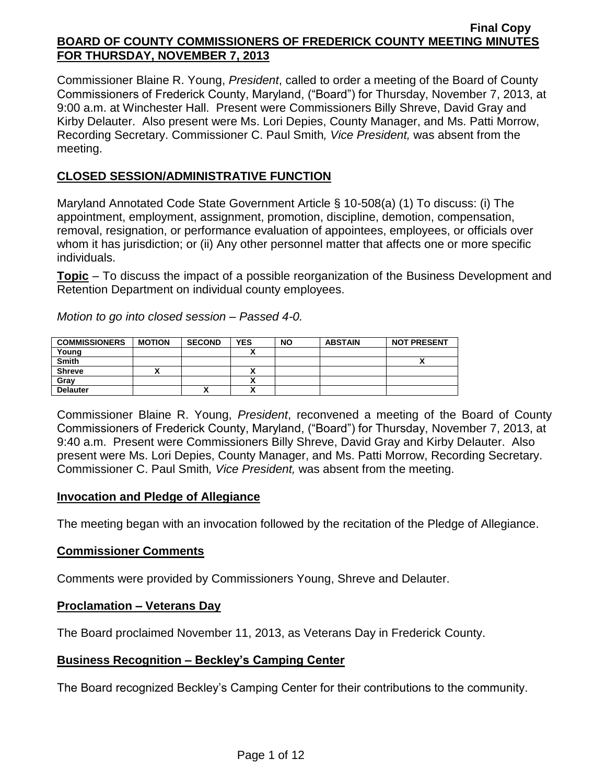Commissioner Blaine R. Young, *President*, called to order a meeting of the Board of County Commissioners of Frederick County, Maryland, ("Board") for Thursday, November 7, 2013, at 9:00 a.m. at Winchester Hall. Present were Commissioners Billy Shreve, David Gray and Kirby Delauter. Also present were Ms. Lori Depies, County Manager, and Ms. Patti Morrow, Recording Secretary. Commissioner C. Paul Smith*, Vice President,* was absent from the meeting.

## **CLOSED SESSION/ADMINISTRATIVE FUNCTION**

Maryland Annotated Code State Government Article § 10-508(a) (1) To discuss: (i) The appointment, employment, assignment, promotion, discipline, demotion, compensation, removal, resignation, or performance evaluation of appointees, employees, or officials over whom it has jurisdiction; or (ii) Any other personnel matter that affects one or more specific individuals.

**Topic** – To discuss the impact of a possible reorganization of the Business Development and Retention Department on individual county employees.

| <b>COMMISSIONERS</b> | <b>MOTION</b> | <b>SECOND</b> | <b>YES</b> | <b>NO</b> | <b>ABSTAIN</b> | <b>NOT PRESENT</b> |
|----------------------|---------------|---------------|------------|-----------|----------------|--------------------|
| Young                |               |               |            |           |                |                    |
| <b>Smith</b>         |               |               |            |           |                | n                  |
| <b>Shreve</b>        |               |               |            |           |                |                    |
| Gray                 |               |               |            |           |                |                    |
| <b>Delauter</b>      |               | "             |            |           |                |                    |
|                      |               |               |            |           |                |                    |

*Motion to go into closed session – Passed 4-0.*

Commissioner Blaine R. Young, *President*, reconvened a meeting of the Board of County Commissioners of Frederick County, Maryland, ("Board") for Thursday, November 7, 2013, at 9:40 a.m. Present were Commissioners Billy Shreve, David Gray and Kirby Delauter. Also present were Ms. Lori Depies, County Manager, and Ms. Patti Morrow, Recording Secretary. Commissioner C. Paul Smith*, Vice President,* was absent from the meeting.

## **Invocation and Pledge of Allegiance**

The meeting began with an invocation followed by the recitation of the Pledge of Allegiance.

## **Commissioner Comments**

Comments were provided by Commissioners Young, Shreve and Delauter.

## **Proclamation – Veterans Day**

The Board proclaimed November 11, 2013, as Veterans Day in Frederick County.

## **Business Recognition – Beckley's Camping Center**

The Board recognized Beckley's Camping Center for their contributions to the community.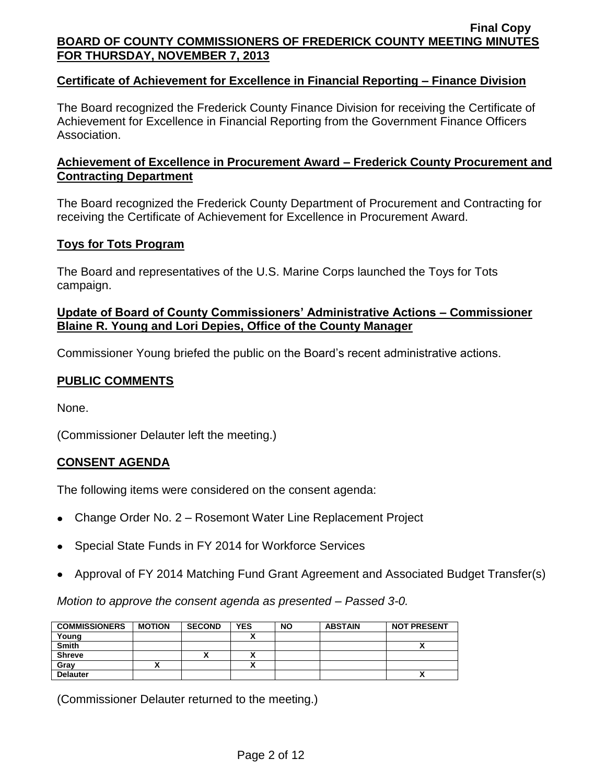## **Certificate of Achievement for Excellence in Financial Reporting – Finance Division**

The Board recognized the Frederick County Finance Division for receiving the Certificate of Achievement for Excellence in Financial Reporting from the Government Finance Officers Association.

## **Achievement of Excellence in Procurement Award – Frederick County Procurement and Contracting Department**

The Board recognized the Frederick County Department of Procurement and Contracting for receiving the Certificate of Achievement for Excellence in Procurement Award.

# **Toys for Tots Program**

The Board and representatives of the U.S. Marine Corps launched the Toys for Tots campaign.

## **Update of Board of County Commissioners' Administrative Actions – Commissioner Blaine R. Young and Lori Depies, Office of the County Manager**

Commissioner Young briefed the public on the Board's recent administrative actions.

# **PUBLIC COMMENTS**

None.

(Commissioner Delauter left the meeting.)

# **CONSENT AGENDA**

The following items were considered on the consent agenda:

- Change Order No. 2 Rosemont Water Line Replacement Project
- Special State Funds in FY 2014 for Workforce Services
- Approval of FY 2014 Matching Fund Grant Agreement and Associated Budget Transfer(s)

*Motion to approve the consent agenda as presented – Passed 3-0.*

| <b>COMMISSIONERS</b> | <b>MOTION</b> | <b>SECOND</b> | <b>YES</b> | <b>NO</b> | <b>ABSTAIN</b> | <b>NOT PRESENT</b> |
|----------------------|---------------|---------------|------------|-----------|----------------|--------------------|
| Young                |               |               |            |           |                |                    |
| <b>Smith</b>         |               |               |            |           |                | Λ                  |
| <b>Shreve</b>        |               |               |            |           |                |                    |
| Gray                 |               |               |            |           |                |                    |
| <b>Delauter</b>      |               |               |            |           |                | Λ                  |

(Commissioner Delauter returned to the meeting.)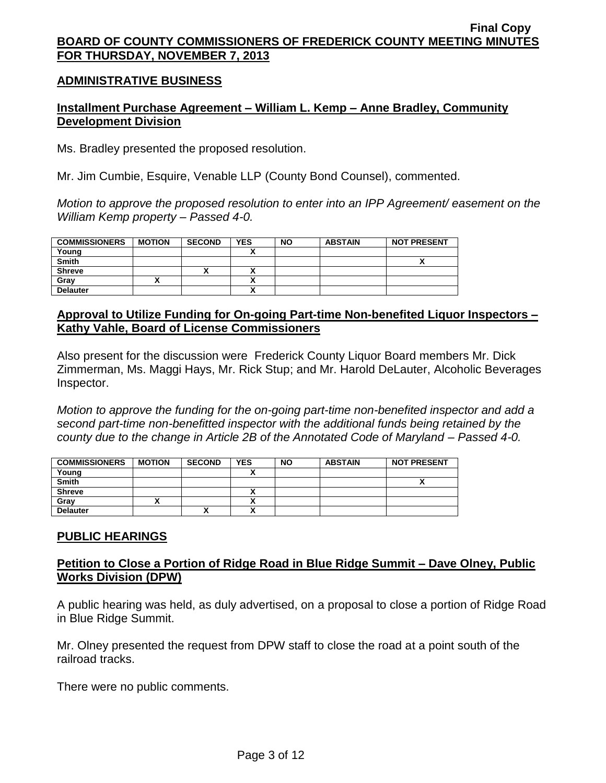## **ADMINISTRATIVE BUSINESS**

## **Installment Purchase Agreement – William L. Kemp – Anne Bradley, Community Development Division**

Ms. Bradley presented the proposed resolution.

Mr. Jim Cumbie, Esquire, Venable LLP (County Bond Counsel), commented.

*Motion to approve the proposed resolution to enter into an IPP Agreement/ easement on the William Kemp property – Passed 4-0.*

| <b>COMMISSIONERS</b> | <b>MOTION</b> | <b>SECOND</b> | <b>YES</b>   | <b>NO</b> | <b>ABSTAIN</b> | <b>NOT PRESENT</b> |
|----------------------|---------------|---------------|--------------|-----------|----------------|--------------------|
| Young                |               |               |              |           |                |                    |
| <b>Smith</b>         |               |               |              |           |                |                    |
| <b>Shreve</b>        |               | "             |              |           |                |                    |
| Grav                 |               |               |              |           |                |                    |
| <b>Delauter</b>      |               |               | $\mathbf{v}$ |           |                |                    |

## **Approval to Utilize Funding for On-going Part-time Non-benefited Liquor Inspectors – Kathy Vahle, Board of License Commissioners**

Also present for the discussion were Frederick County Liquor Board members Mr. Dick Zimmerman, Ms. Maggi Hays, Mr. Rick Stup; and Mr. Harold DeLauter, Alcoholic Beverages Inspector.

*Motion to approve the funding for the on-going part-time non-benefited inspector and add a second part-time non-benefitted inspector with the additional funds being retained by the county due to the change in Article 2B of the Annotated Code of Maryland – Passed 4-0.*

| <b>COMMISSIONERS</b> | <b>MOTION</b> | <b>SECOND</b> | <b>YES</b>                     | <b>NO</b> | <b>ABSTAIN</b> | <b>NOT PRESENT</b> |
|----------------------|---------------|---------------|--------------------------------|-----------|----------------|--------------------|
| Young                |               |               |                                |           |                |                    |
| <b>Smith</b>         |               |               |                                |           |                |                    |
| <b>Shreve</b>        |               |               | ↗                              |           |                |                    |
| Grav                 |               |               | ↗                              |           |                |                    |
| <b>Delauter</b>      |               | $\mathbf{v}$  | ٠.<br>$\overline{\phantom{a}}$ |           |                |                    |

## **PUBLIC HEARINGS**

## **Petition to Close a Portion of Ridge Road in Blue Ridge Summit – Dave Olney, Public Works Division (DPW)**

A public hearing was held, as duly advertised, on a proposal to close a portion of Ridge Road in Blue Ridge Summit.

Mr. Olney presented the request from DPW staff to close the road at a point south of the railroad tracks.

There were no public comments.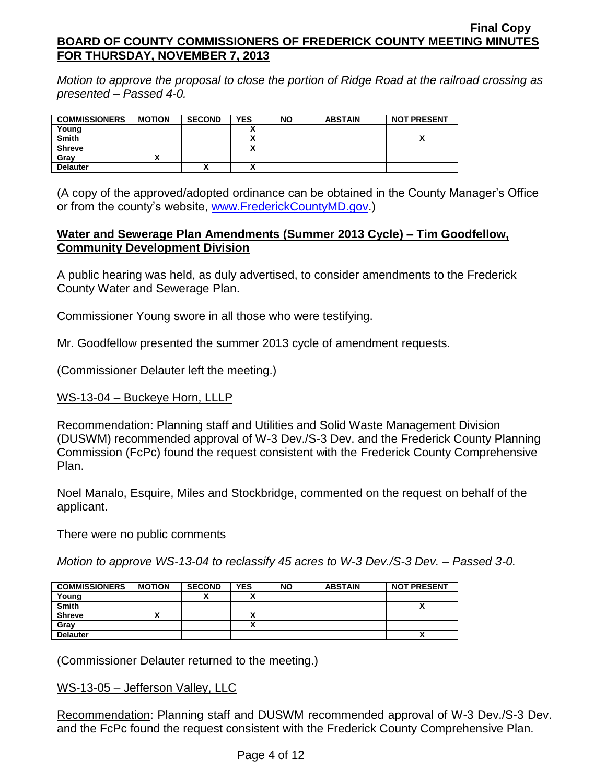*Motion to approve the proposal to close the portion of Ridge Road at the railroad crossing as presented – Passed 4-0.*

| <b>COMMISSIONERS</b> | <b>MOTION</b> | <b>SECOND</b> | <b>YES</b> | <b>NO</b> | <b>ABSTAIN</b> | <b>NOT PRESENT</b> |
|----------------------|---------------|---------------|------------|-----------|----------------|--------------------|
| Young                |               |               |            |           |                |                    |
| <b>Smith</b>         |               |               |            |           |                |                    |
| <b>Shreve</b>        |               |               |            |           |                |                    |
| Gray                 |               |               |            |           |                |                    |
| <b>Delauter</b>      |               | M<br>Λ        |            |           |                |                    |

(A copy of the approved/adopted ordinance can be obtained in the County Manager's Office or from the county's website, [www.FrederickCountyMD.gov.](http://www.frederickcountymd.gov/))

## **Water and Sewerage Plan Amendments (Summer 2013 Cycle) – Tim Goodfellow, Community Development Division**

A public hearing was held, as duly advertised, to consider amendments to the Frederick County Water and Sewerage Plan.

Commissioner Young swore in all those who were testifying.

Mr. Goodfellow presented the summer 2013 cycle of amendment requests.

(Commissioner Delauter left the meeting.)

## WS-13-04 – Buckeye Horn, LLLP

Recommendation: Planning staff and Utilities and Solid Waste Management Division (DUSWM) recommended approval of W-3 Dev./S-3 Dev. and the Frederick County Planning Commission (FcPc) found the request consistent with the Frederick County Comprehensive Plan.

Noel Manalo, Esquire, Miles and Stockbridge, commented on the request on behalf of the applicant.

There were no public comments

*Motion to approve WS-13-04 to reclassify 45 acres to W-3 Dev./S-3 Dev. – Passed 3-0.*

| <b>COMMISSIONERS</b> | <b>MOTION</b> | <b>SECOND</b> | <b>YES</b> | <b>NO</b> | <b>ABSTAIN</b> | <b>NOT PRESENT</b> |
|----------------------|---------------|---------------|------------|-----------|----------------|--------------------|
| Young                |               |               |            |           |                |                    |
| <b>Smith</b>         |               |               |            |           |                | ,,                 |
| <b>Shreve</b>        |               |               |            |           |                |                    |
| Gray                 |               |               |            |           |                |                    |
| <b>Delauter</b>      |               |               |            |           |                | ~                  |

(Commissioner Delauter returned to the meeting.)

### WS-13-05 – Jefferson Valley, LLC

Recommendation: Planning staff and DUSWM recommended approval of W-3 Dev./S-3 Dev. and the FcPc found the request consistent with the Frederick County Comprehensive Plan.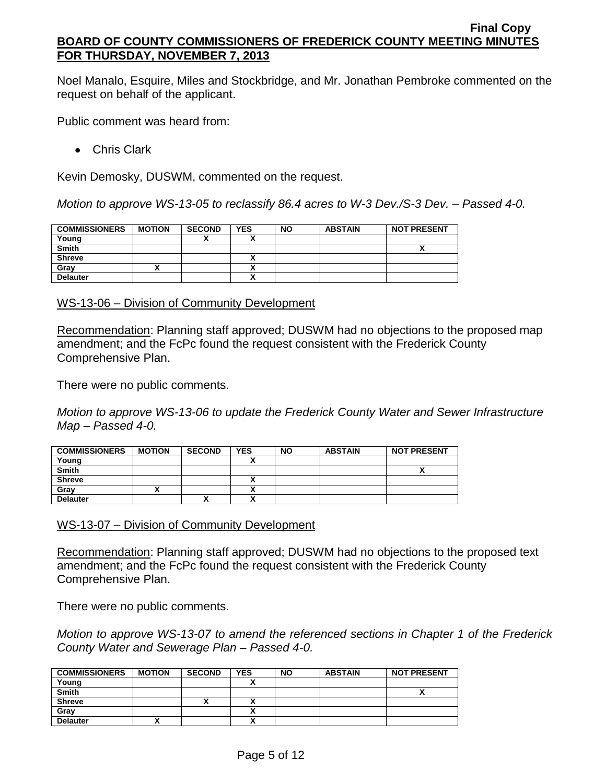Noel Manalo, Esquire, Miles and Stockbridge, and Mr. Jonathan Pembroke commented on the request on behalf of the applicant.

Public comment was heard from:

Chris Clark

Kevin Demosky, DUSWM, commented on the request.

*Motion to approve WS-13-05 to reclassify 86.4 acres to W-3 Dev./S-3 Dev. – Passed 4-0.*

| <b>COMMISSIONERS</b> | <b>MOTION</b> | <b>SECOND</b> | <b>YES</b> | <b>NO</b> | <b>ABSTAIN</b> | <b>NOT PRESENT</b> |
|----------------------|---------------|---------------|------------|-----------|----------------|--------------------|
| Young                |               |               |            |           |                |                    |
| <b>Smith</b>         |               |               |            |           |                |                    |
| <b>Shreve</b>        |               |               |            |           |                |                    |
| Grav                 |               |               |            |           |                |                    |
| <b>Delauter</b>      |               |               | ~          |           |                |                    |

WS-13-06 – Division of Community Development

Recommendation: Planning staff approved; DUSWM had no objections to the proposed map amendment; and the FcPc found the request consistent with the Frederick County Comprehensive Plan.

There were no public comments.

*Motion to approve WS-13-06 to update the Frederick County Water and Sewer Infrastructure Map – Passed 4-0.*

| <b>COMMISSIONERS</b> | <b>MOTION</b> | <b>SECOND</b> | <b>YES</b>               | <b>NO</b> | <b>ABSTAIN</b> | <b>NOT PRESENT</b> |
|----------------------|---------------|---------------|--------------------------|-----------|----------------|--------------------|
| Young                |               |               |                          |           |                |                    |
| <b>Smith</b>         |               |               |                          |           |                |                    |
| <b>Shreve</b>        |               |               |                          |           |                |                    |
| Grav                 |               |               |                          |           |                |                    |
| <b>Delauter</b>      |               | "             | $\ddot{\phantom{1}}$<br> |           |                |                    |

WS-13-07 – Division of Community Development

Recommendation: Planning staff approved; DUSWM had no objections to the proposed text amendment; and the FcPc found the request consistent with the Frederick County Comprehensive Plan.

There were no public comments.

*Motion to approve WS-13-07 to amend the referenced sections in Chapter 1 of the Frederick County Water and Sewerage Plan – Passed 4-0.*

| <b>COMMISSIONERS</b> | <b>MOTION</b> | <b>SECOND</b> | YES | <b>NO</b> | <b>ABSTAIN</b> | <b>NOT PRESENT</b> |
|----------------------|---------------|---------------|-----|-----------|----------------|--------------------|
| Young                |               |               |     |           |                |                    |
| <b>Smith</b>         |               |               |     |           |                | ~                  |
| <b>Shreve</b>        |               | ^             |     |           |                |                    |
| Gray                 |               |               |     |           |                |                    |
| <b>Delauter</b>      |               |               |     |           |                |                    |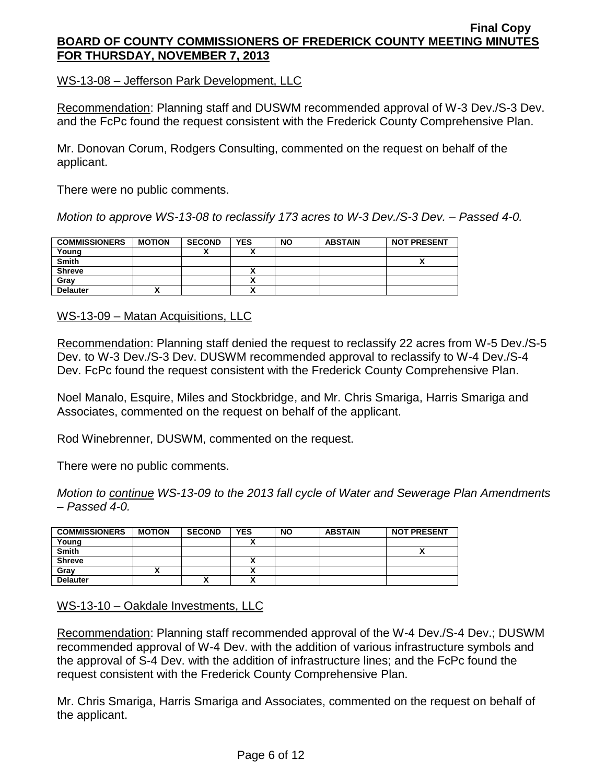WS-13-08 – Jefferson Park Development, LLC

Recommendation: Planning staff and DUSWM recommended approval of W-3 Dev./S-3 Dev. and the FcPc found the request consistent with the Frederick County Comprehensive Plan.

Mr. Donovan Corum, Rodgers Consulting, commented on the request on behalf of the applicant.

There were no public comments.

*Motion to approve WS-13-08 to reclassify 173 acres to W-3 Dev./S-3 Dev. – Passed 4-0.*

| <b>COMMISSIONERS</b> | <b>MOTION</b> | <b>SECOND</b> | <b>YES</b>               | <b>NO</b> | <b>ABSTAIN</b> | <b>NOT PRESENT</b> |
|----------------------|---------------|---------------|--------------------------|-----------|----------------|--------------------|
| Young                |               |               | $\overline{\phantom{a}}$ |           |                |                    |
| <b>Smith</b>         |               |               |                          |           |                | ^                  |
| <b>Shreve</b>        |               |               |                          |           |                |                    |
| Gray                 |               |               | ^                        |           |                |                    |
| <b>Delauter</b>      |               |               | ^                        |           |                |                    |

WS-13-09 – Matan Acquisitions, LLC

Recommendation: Planning staff denied the request to reclassify 22 acres from W-5 Dev./S-5 Dev. to W-3 Dev./S-3 Dev. DUSWM recommended approval to reclassify to W-4 Dev./S-4 Dev. FcPc found the request consistent with the Frederick County Comprehensive Plan.

Noel Manalo, Esquire, Miles and Stockbridge, and Mr. Chris Smariga, Harris Smariga and Associates, commented on the request on behalf of the applicant.

Rod Winebrenner, DUSWM, commented on the request.

There were no public comments.

*Motion to continue WS-13-09 to the 2013 fall cycle of Water and Sewerage Plan Amendments – Passed 4-0.*

| <b>COMMISSIONERS</b> | <b>MOTION</b> | <b>SECOND</b> | <b>YES</b>               | <b>NO</b> | <b>ABSTAIN</b> | <b>NOT PRESENT</b> |
|----------------------|---------------|---------------|--------------------------|-----------|----------------|--------------------|
| Young                |               |               |                          |           |                |                    |
| <b>Smith</b>         |               |               |                          |           |                |                    |
| <b>Shreve</b>        |               |               | $\overline{\phantom{a}}$ |           |                |                    |
| Grav                 |               |               | ~                        |           |                |                    |
| <b>Delauter</b>      |               | "             | $\overline{\phantom{a}}$ |           |                |                    |

WS-13-10 – Oakdale Investments, LLC

Recommendation: Planning staff recommended approval of the W-4 Dev./S-4 Dev.; DUSWM recommended approval of W-4 Dev. with the addition of various infrastructure symbols and the approval of S-4 Dev. with the addition of infrastructure lines; and the FcPc found the request consistent with the Frederick County Comprehensive Plan.

Mr. Chris Smariga, Harris Smariga and Associates, commented on the request on behalf of the applicant.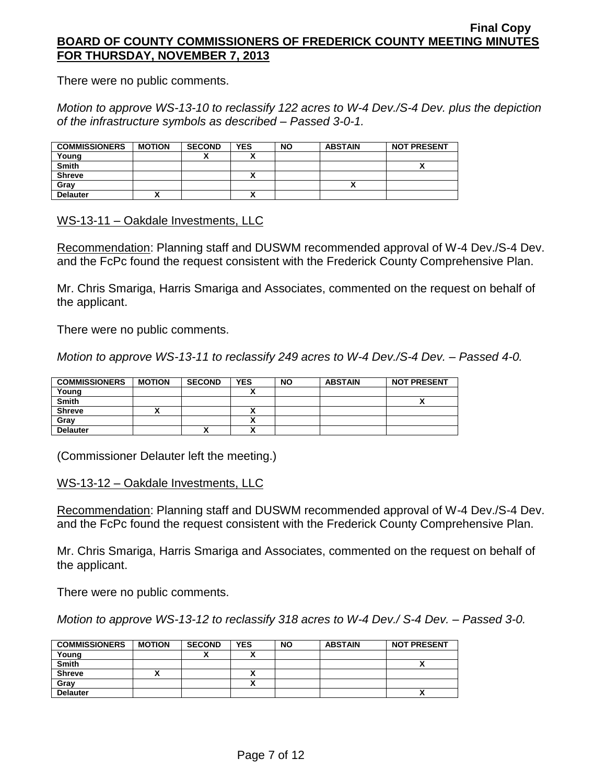There were no public comments.

*Motion to approve WS-13-10 to reclassify 122 acres to W-4 Dev./S-4 Dev. plus the depiction of the infrastructure symbols as described – Passed 3-0-1.*

| <b>COMMISSIONERS</b> | <b>MOTION</b> | <b>SECOND</b> | <b>YES</b> | <b>NO</b> | <b>ABSTAIN</b> | <b>NOT PRESENT</b> |
|----------------------|---------------|---------------|------------|-----------|----------------|--------------------|
| Young                |               |               |            |           |                |                    |
| <b>Smith</b>         |               |               |            |           |                |                    |
| <b>Shreve</b>        |               |               |            |           |                |                    |
| Grav                 |               |               |            |           |                |                    |
| <b>Delauter</b>      |               |               |            |           |                |                    |

WS-13-11 – Oakdale Investments, LLC

Recommendation: Planning staff and DUSWM recommended approval of W-4 Dev./S-4 Dev. and the FcPc found the request consistent with the Frederick County Comprehensive Plan.

Mr. Chris Smariga, Harris Smariga and Associates, commented on the request on behalf of the applicant.

There were no public comments.

*Motion to approve WS-13-11 to reclassify 249 acres to W-4 Dev./S-4 Dev. – Passed 4-0.*

| <b>COMMISSIONERS</b> | <b>MOTION</b> | <b>SECOND</b> | <b>YES</b> | <b>NO</b> | <b>ABSTAIN</b> | <b>NOT PRESENT</b> |
|----------------------|---------------|---------------|------------|-----------|----------------|--------------------|
| Young                |               |               |            |           |                |                    |
| <b>Smith</b>         |               |               |            |           |                |                    |
| <b>Shreve</b>        |               |               | Λ          |           |                |                    |
| Grav                 |               |               |            |           |                |                    |
| <b>Delauter</b>      |               | '             |            |           |                |                    |

(Commissioner Delauter left the meeting.)

WS-13-12 – Oakdale Investments, LLC

Recommendation: Planning staff and DUSWM recommended approval of W-4 Dev./S-4 Dev. and the FcPc found the request consistent with the Frederick County Comprehensive Plan.

Mr. Chris Smariga, Harris Smariga and Associates, commented on the request on behalf of the applicant.

There were no public comments.

*Motion to approve WS-13-12 to reclassify 318 acres to W-4 Dev./ S-4 Dev. – Passed 3-0.*

| <b>COMMISSIONERS</b> | <b>MOTION</b> | <b>SECOND</b> | <b>YES</b>           | <b>NO</b> | <b>ABSTAIN</b> | <b>NOT PRESENT</b> |
|----------------------|---------------|---------------|----------------------|-----------|----------------|--------------------|
| Young                |               |               | $\ddot{\phantom{0}}$ |           |                |                    |
| Smith                |               |               |                      |           |                |                    |
| <b>Shreve</b>        |               |               | ^                    |           |                |                    |
| Grav                 |               |               | ,,                   |           |                |                    |
| <b>Delauter</b>      |               |               |                      |           |                | ^                  |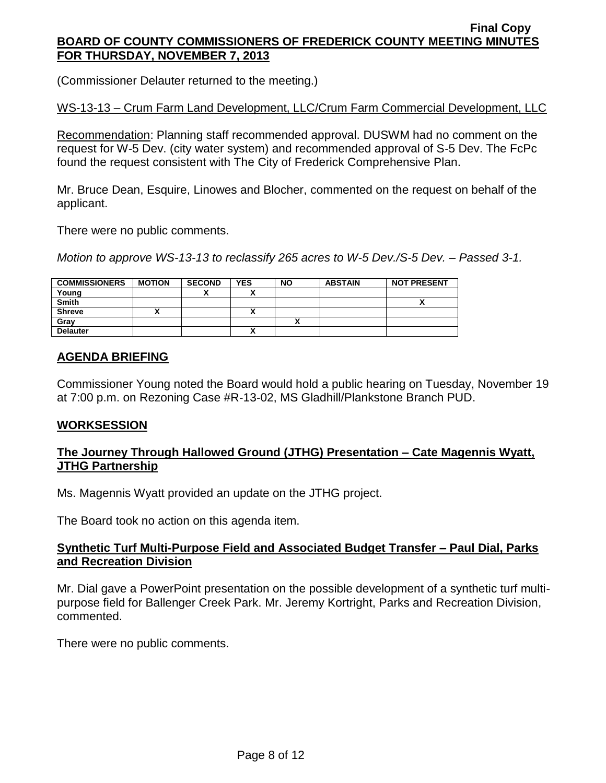(Commissioner Delauter returned to the meeting.)

WS-13-13 – Crum Farm Land Development, LLC/Crum Farm Commercial Development, LLC

Recommendation: Planning staff recommended approval. DUSWM had no comment on the request for W-5 Dev. (city water system) and recommended approval of S-5 Dev. The FcPc found the request consistent with The City of Frederick Comprehensive Plan.

Mr. Bruce Dean, Esquire, Linowes and Blocher, commented on the request on behalf of the applicant.

There were no public comments.

*Motion to approve WS-13-13 to reclassify 265 acres to W-5 Dev./S-5 Dev. – Passed 3-1.*

| <b>COMMISSIONERS</b> | <b>MOTION</b> | <b>SECOND</b> | <b>YES</b> | <b>NO</b> | <b>ABSTAIN</b> | <b>NOT PRESENT</b> |
|----------------------|---------------|---------------|------------|-----------|----------------|--------------------|
| Young                |               |               |            |           |                |                    |
| <b>Smith</b>         |               |               |            |           |                |                    |
| <b>Shreve</b>        |               |               | ~          |           |                |                    |
| Gray                 |               |               |            |           |                |                    |
| <b>Delauter</b>      |               |               |            |           |                |                    |

## **AGENDA BRIEFING**

Commissioner Young noted the Board would hold a public hearing on Tuesday, November 19 at 7:00 p.m. on Rezoning Case #R-13-02, MS Gladhill/Plankstone Branch PUD.

## **WORKSESSION**

## **The Journey Through Hallowed Ground (JTHG) Presentation – Cate Magennis Wyatt, JTHG Partnership**

Ms. Magennis Wyatt provided an update on the JTHG project.

The Board took no action on this agenda item.

# **Synthetic Turf Multi-Purpose Field and Associated Budget Transfer – Paul Dial, Parks and Recreation Division**

Mr. Dial gave a PowerPoint presentation on the possible development of a synthetic turf multipurpose field for Ballenger Creek Park. Mr. Jeremy Kortright, Parks and Recreation Division, commented.

There were no public comments.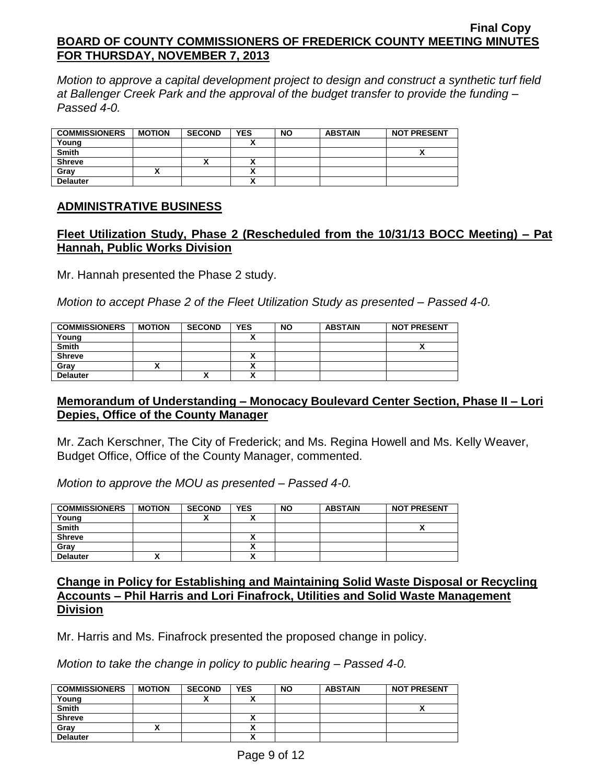*Motion to approve a capital development project to design and construct a synthetic turf field at Ballenger Creek Park and the approval of the budget transfer to provide the funding – Passed 4-0.*

| <b>COMMISSIONERS</b> | <b>MOTION</b> | <b>SECOND</b> | <b>YES</b> | <b>NO</b> | <b>ABSTAIN</b> | <b>NOT PRESENT</b> |
|----------------------|---------------|---------------|------------|-----------|----------------|--------------------|
| Young                |               |               |            |           |                |                    |
| <b>Smith</b>         |               |               |            |           |                |                    |
| <b>Shreve</b>        |               |               |            |           |                |                    |
| Grav                 |               |               |            |           |                |                    |
| <b>Delauter</b>      |               |               |            |           |                |                    |

## **ADMINISTRATIVE BUSINESS**

# **Fleet Utilization Study, Phase 2 (Rescheduled from the 10/31/13 BOCC Meeting) – Pat Hannah, Public Works Division**

Mr. Hannah presented the Phase 2 study.

*Motion to accept Phase 2 of the Fleet Utilization Study as presented – Passed 4-0.*

| <b>COMMISSIONERS</b> | <b>MOTION</b> | <b>SECOND</b> | <b>YES</b> | <b>NO</b> | <b>ABSTAIN</b> | <b>NOT PRESENT</b> |
|----------------------|---------------|---------------|------------|-----------|----------------|--------------------|
| Young                |               |               |            |           |                |                    |
| <b>Smith</b>         |               |               |            |           |                |                    |
| <b>Shreve</b>        |               |               | ~          |           |                |                    |
| Grav                 |               |               |            |           |                |                    |
| <b>Delauter</b>      |               |               |            |           |                |                    |

## **Memorandum of Understanding – Monocacy Boulevard Center Section, Phase II – Lori Depies, Office of the County Manager**

Mr. Zach Kerschner, The City of Frederick; and Ms. Regina Howell and Ms. Kelly Weaver, Budget Office, Office of the County Manager, commented.

*Motion to approve the MOU as presented – Passed 4-0.*

| <b>COMMISSIONERS</b> | <b>MOTION</b> | <b>SECOND</b> | <b>YES</b> | <b>NO</b> | <b>ABSTAIN</b> | <b>NOT PRESENT</b> |
|----------------------|---------------|---------------|------------|-----------|----------------|--------------------|
| Young                |               |               |            |           |                |                    |
| <b>Smith</b>         |               |               |            |           |                |                    |
| <b>Shreve</b>        |               |               |            |           |                |                    |
| Gray                 |               |               |            |           |                |                    |
| <b>Delauter</b>      |               |               |            |           |                |                    |

## **Change in Policy for Establishing and Maintaining Solid Waste Disposal or Recycling Accounts – Phil Harris and Lori Finafrock, Utilities and Solid Waste Management Division**

Mr. Harris and Ms. Finafrock presented the proposed change in policy.

*Motion to take the change in policy to public hearing – Passed 4-0.*

| <b>COMMISSIONERS</b> | <b>MOTION</b> | <b>SECOND</b> | <b>YES</b> | <b>NO</b> | <b>ABSTAIN</b> | <b>NOT PRESENT</b> |
|----------------------|---------------|---------------|------------|-----------|----------------|--------------------|
| Young                |               | "             |            |           |                |                    |
| <b>Smith</b>         |               |               |            |           |                | ,,                 |
| <b>Shreve</b>        |               |               |            |           |                |                    |
| Gray                 |               |               |            |           |                |                    |
| <b>Delauter</b>      |               |               |            |           |                |                    |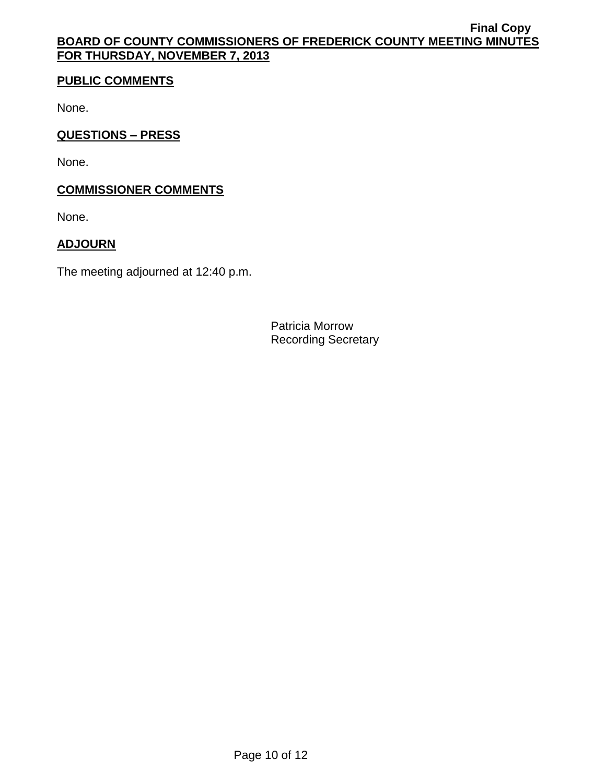# **PUBLIC COMMENTS**

None.

# **QUESTIONS – PRESS**

None.

# **COMMISSIONER COMMENTS**

None.

# **ADJOURN**

The meeting adjourned at 12:40 p.m.

Patricia Morrow Recording Secretary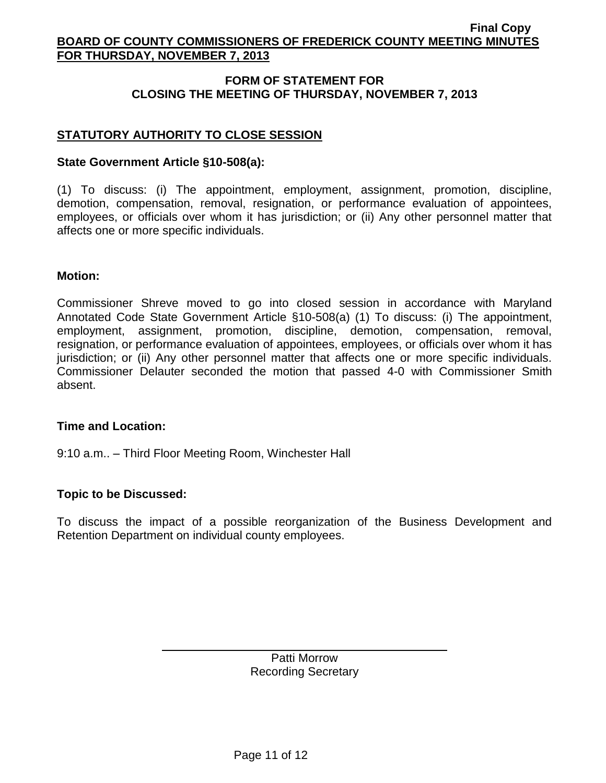# **FORM OF STATEMENT FOR CLOSING THE MEETING OF THURSDAY, NOVEMBER 7, 2013**

# **STATUTORY AUTHORITY TO CLOSE SESSION**

## **State Government Article §10-508(a):**

(1) To discuss: (i) The appointment, employment, assignment, promotion, discipline, demotion, compensation, removal, resignation, or performance evaluation of appointees, employees, or officials over whom it has jurisdiction; or (ii) Any other personnel matter that affects one or more specific individuals.

## **Motion:**

Commissioner Shreve moved to go into closed session in accordance with Maryland Annotated Code State Government Article §10-508(a) (1) To discuss: (i) The appointment, employment, assignment, promotion, discipline, demotion, compensation, removal, resignation, or performance evaluation of appointees, employees, or officials over whom it has jurisdiction; or (ii) Any other personnel matter that affects one or more specific individuals. Commissioner Delauter seconded the motion that passed 4-0 with Commissioner Smith absent.

### **Time and Location:**

9:10 a.m.. – Third Floor Meeting Room, Winchester Hall

## **Topic to be Discussed:**

To discuss the impact of a possible reorganization of the Business Development and Retention Department on individual county employees.

> Patti Morrow Recording Secretary